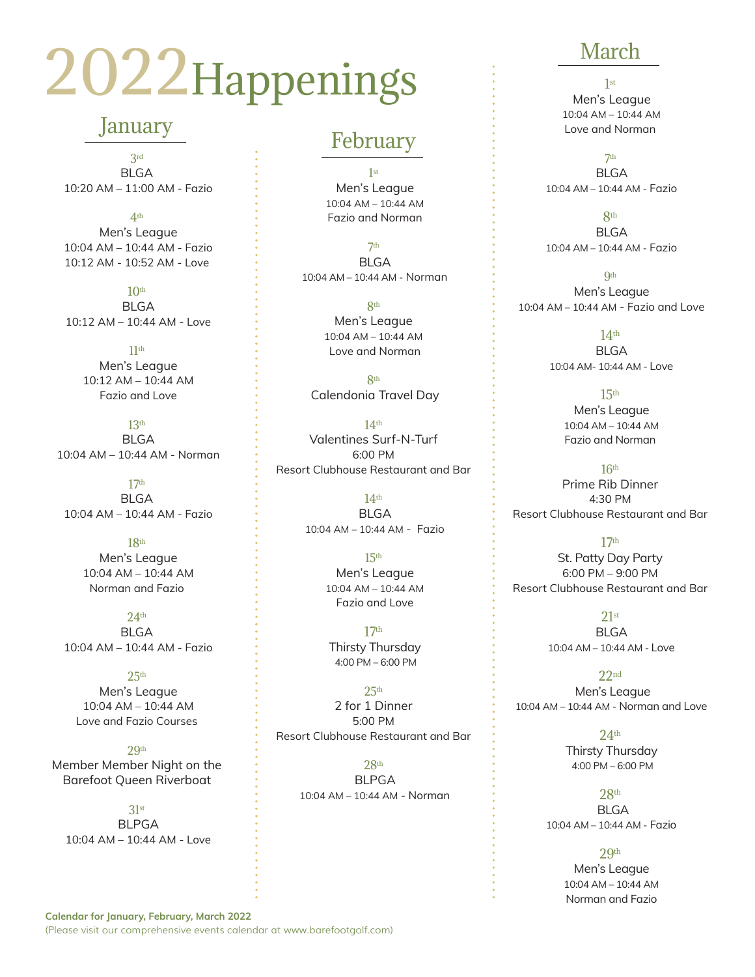# 2022Happenings

## January

3rd **BLGA** 10:20 AM – 11:00 AM - Fazio

4th Men's League 10:04 AM – 10:44 AM - Fazio 10:12 AM - 10:52 AM - Love

 $10<sup>th</sup>$  BLGA 10:12 AM – 10:44 AM - Love

 $11<sup>th</sup>$  Men's League 10:12 AM – 10:44 AM Fazio and Love

 $13<sup>th</sup>$  BLGA 10:04 AM – 10:44 AM - Norman

17th **BLGA** 10:04 AM – 10:44 AM - Fazio

18th Men's League 10:04 AM – 10:44 AM Norman and Fazio

 $24<sup>th</sup>$ BLGA 10:04 AM – 10:44 AM - Fazio

 $25<sup>th</sup>$  Men's League 10:04 AM – 10:44 AM Love and Fazio Courses

 $2Qth$ Member Member Night on the Barefoot Queen Riverboat

31st BLPGA 10:04 AM – 10:44 AM - Love

### February

1st Men's League 10:04 AM – 10:44 AM Fazio and Norman

7th **BLGA** 10:04 AM – 10:44 AM - Norman

> 8th Men's League 10:04 AM – 10:44 AM Love and Norman

8th Calendonia Travel Day

14th Valentines Surf-N-Turf 6:00 PM Resort Clubhouse Restaurant and Bar

> $14<sup>th</sup>$  BLGA 10:04 AM – 10:44 AM - Fazio

> > 15th Men's League 10:04 AM – 10:44 AM Fazio and Love

17th Thirsty Thursday 4:00 PM – 6:00 PM

 $25<sup>th</sup>$ 2 for 1 Dinner 5:00 PM Resort Clubhouse Restaurant and Bar

28th BLPGA 10:04 AM – 10:44 AM - Norman

# March

1st Men's League 10:04 AM – 10:44 AM Love and Norman

7th **BLGA** 10:04 AM – 10:44 AM - Fazio

8th **BLGA** 10:04 AM – 10:44 AM - Fazio

**Qth**  Men's League 10:04 AM – 10:44 AM - Fazio and Love

> $14<sup>th</sup>$  BLGA 10:04 AM- 10:44 AM - Love

> > 15th Men's League 10:04 AM – 10:44 AM Fazio and Norman

 $16<sup>th</sup>$ Prime Rib Dinner 4:30 PM Resort Clubhouse Restaurant and Bar

17th St. Patty Day Party 6:00 PM – 9:00 PM Resort Clubhouse Restaurant and Bar

> $21st$  BLGA 10:04 AM – 10:44 AM - Love

22nd Men's League 10:04 AM – 10:44 AM - Norman and Love

> $24<sup>th</sup>$  Thirsty Thursday 4:00 PM – 6:00 PM

28th BLGA 10:04 AM – 10:44 AM - Fazio

> 2.9<sup>th</sup> Men's League 10:04 AM – 10:44 AM Norman and Fazio